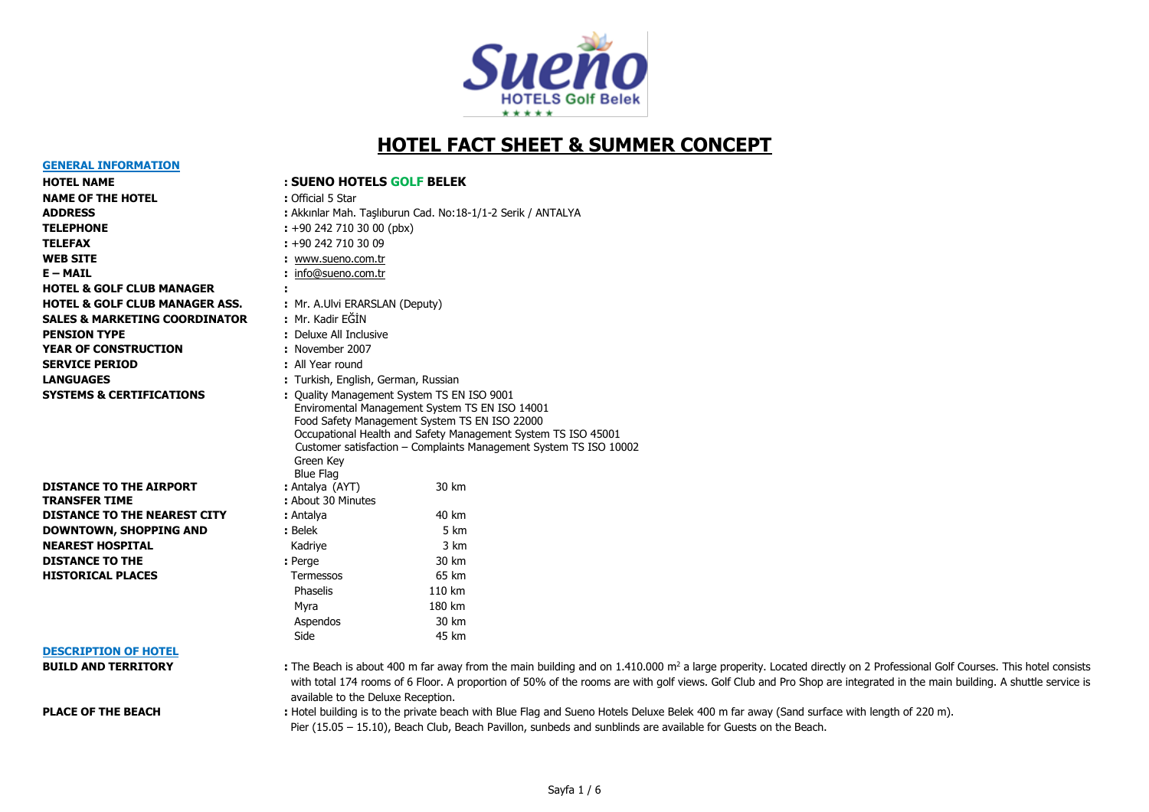

# **HOTEL FACT SHEET & SUMMER CONCEPT**

#### **GENERAL INFORMATION**

### **HOTEL NAME : SUENO HOTELS GOLF BELEK**

| <b>NAME OF THE HOTEL</b>                  | : Official 5 Star                                           |
|-------------------------------------------|-------------------------------------------------------------|
| <b>ADDRESS</b>                            | : Akkınlar Mah. Taşlıburun Cad. No:18-1/1-2 Serik / ANTALYA |
| <b>TELEPHONE</b>                          | $\div$ +90 242 710 30 00 (pbx)                              |
| <b>TELEFAX</b>                            | $: +902427103009$                                           |
| <b>WEB SITE</b>                           | : www.sueno.com.tr                                          |
| $E - MAIL$                                | : info@sueno.com.tr                                         |
| <b>HOTEL &amp; GOLF CLUB MANAGER</b>      |                                                             |
| <b>HOTEL &amp; GOLF CLUB MANAGER ASS.</b> | : Mr. A.Ulvi ERARSLAN (Deputy)                              |
| <b>SALES &amp; MARKETING COORDINATOR</b>  | : Mr. Kadir EĞİN                                            |
| <b>PENSION TYPE</b>                       | : Deluxe All Inclusive                                      |
| <b>YEAR OF CONSTRUCTION</b>               | : November 2007                                             |
| <b>SERVICE PERIOD</b>                     | : All Year round                                            |
| <b>LANGUAGES</b>                          | : Turkish, English, German, Russian                         |
| <b>SYSTEMS &amp; CERTIFICATIONS</b>       | : Quality Management System TS EN ISO 9001                  |

| <b>DISTANCE TO THE AIRPORT</b>      | : Antalya (AYT)    | 30 km |
|-------------------------------------|--------------------|-------|
| <b>TRANSFER TIME</b>                | : About 30 Minutes |       |
| <b>DISTANCE TO THE NEAREST CITY</b> | : Antalya          | 40 km |
| <b>DOWNTOWN, SHOPPING AND</b>       | : Belek            | 5 km  |
| <b>NEAREST HOSPITAL</b>             | Kadriye            | 3 km  |
| <b>DISTANCE TO THE</b>              | : Perge            | 30 km |
| <b>HISTORICAL PLACES</b>            | <b>Termessos</b>   | 65 km |
|                                     |                    |       |

| WEB SITE                             | : www.sueno.com.tr                  |                                                                                                                                                                                                                                                                                     |
|--------------------------------------|-------------------------------------|-------------------------------------------------------------------------------------------------------------------------------------------------------------------------------------------------------------------------------------------------------------------------------------|
| E – MAIL                             | info@sueno.com.tr                   |                                                                                                                                                                                                                                                                                     |
| <b>HOTEL &amp; GOLF CLUB MANAGER</b> |                                     |                                                                                                                                                                                                                                                                                     |
| HOTEL & GOLF CLUB MANAGER ASS.       | : Mr. A.Ulvi ERARSLAN (Deputy)      |                                                                                                                                                                                                                                                                                     |
| SALES & MARKETING COORDINATOR        | : Mr. Kadir FĞİN                    |                                                                                                                                                                                                                                                                                     |
| <b>PENSION TYPE</b>                  | : Deluxe All Inclusive              |                                                                                                                                                                                                                                                                                     |
| <b>YEAR OF CONSTRUCTION</b>          | : November 2007                     |                                                                                                                                                                                                                                                                                     |
| <b>SERVICE PERIOD</b>                | : All Year round                    |                                                                                                                                                                                                                                                                                     |
| <b>LANGUAGES</b>                     | : Turkish, English, German, Russian |                                                                                                                                                                                                                                                                                     |
| <b>SYSTEMS &amp; CERTIFICATIONS</b>  | Green Key<br><b>Blue Flag</b>       | : Quality Management System TS EN ISO 9001<br>Enviromental Management System TS EN ISO 14001<br>Food Safety Management System TS EN ISO 22000<br>Occupational Health and Safety Management System TS ISO 45001<br>Customer satisfaction - Complaints Management System TS ISO 10002 |
| <b>DISTANCE TO THE AIRPORT</b>       | : Antalya (AYT)                     | 30 km                                                                                                                                                                                                                                                                               |
| <b>TRANSFER TIME</b>                 | : About 30 Minutes                  |                                                                                                                                                                                                                                                                                     |
| <b>DISTANCE TO THE NEAREST CITY</b>  | : Antalya                           | 40 km                                                                                                                                                                                                                                                                               |
| DOWNTOWN, SHOPPING AND               | : Belek                             | 5 km                                                                                                                                                                                                                                                                                |
| <b>NEAREST HOSPITAL</b>              | Kadriye                             | 3 km                                                                                                                                                                                                                                                                                |
| <b>DISTANCE TO THE</b>               | : Perge                             | 30 km                                                                                                                                                                                                                                                                               |
| <b>HISTORICAL PLACES</b>             | Termessos                           | 65 km                                                                                                                                                                                                                                                                               |
|                                      | Phaselis                            | 110 km                                                                                                                                                                                                                                                                              |
|                                      | Myra                                | 180 km                                                                                                                                                                                                                                                                              |
|                                      | Aspendos                            | 30 km                                                                                                                                                                                                                                                                               |
|                                      | Side                                | 45 km                                                                                                                                                                                                                                                                               |
| <b>DESCRIPTION OF HOTEL</b>          |                                     |                                                                                                                                                                                                                                                                                     |
| <b>BUILD AND TERRITORY</b>           |                                     | . The Beach is about 400 m far away from the main building and on 1.410                                                                                                                                                                                                             |

#### **DESCRIPTION OF HOTEL**

**BUILD AND TERRITORY :** The Beach is about 400 m far away from the main building and on 1.410.000 m<sup>2</sup> a large properity. Located directly on 2 Professional Golf Courses. This hotel consists with total 174 rooms of 6 Floor. A proportion of 50% of the rooms are with golf views. Golf Club and Pro Shop are integrated in the main building. A shuttle service is available to the Deluxe Reception.

PLACE OF THE BEACH : Hotel building is to the private beach with Blue Flag and Sueno Hotels Deluxe Belek 400 m far away (Sand surface with length of 220 m). Pier (15.05 – 15.10), Beach Club, Beach Pavillon, sunbeds and sunblinds are available for Guests on the Beach.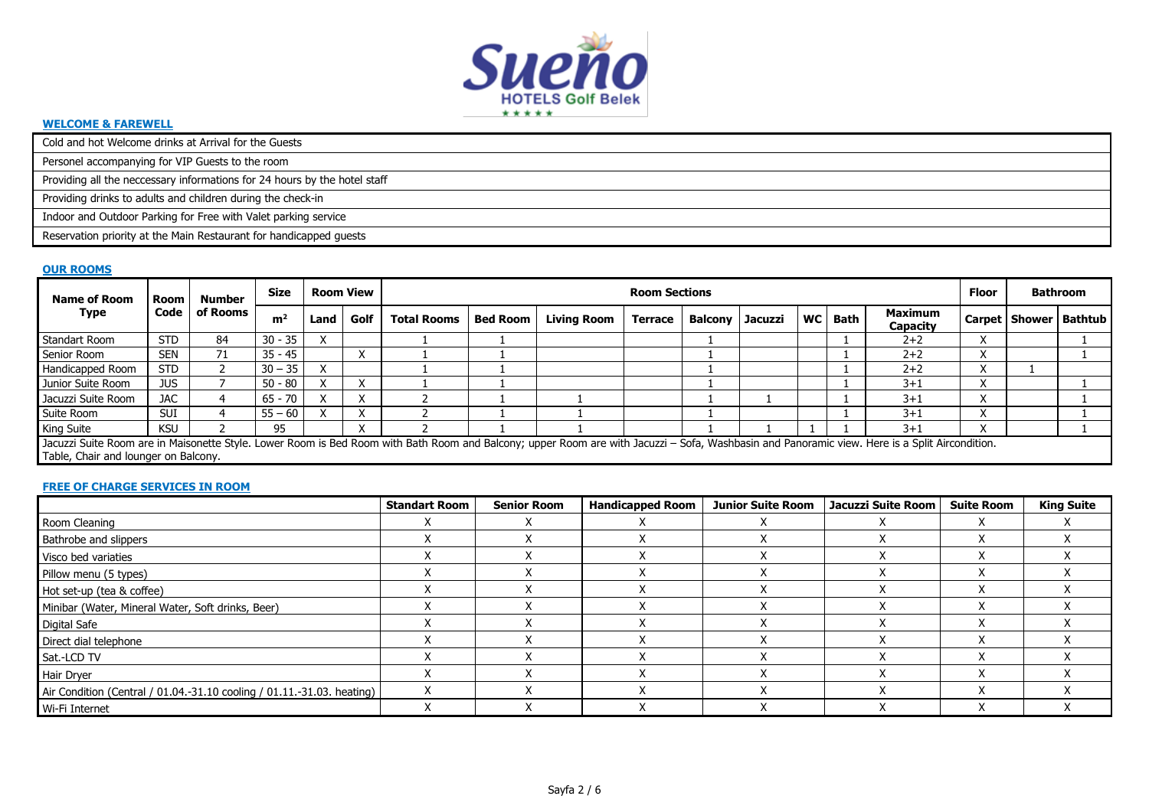

#### **WELCOME & FAREWELL**

Cold and hot Welcome drinks at Arrival for the Guests

Personel accompanying for VIP Guests to the room

Providing all the neccessary informations for 24 hours by the hotel staff

Providing drinks to adults and children during the check-in

Indoor and Outdoor Parking for Free with Valet parking service

Reservation priority at the Main Restaurant for handicapped guests

#### **OUR ROOMS**

| <b>Name of Room</b>                                                                                                                                                                                                                    | Room       | Number   | Size           |      | <b>Room View</b> |                    |                 |                    | <b>Room Sections</b> |                   |  |           |      |                                   | <b>Floor</b> | Bathroom                  |
|----------------------------------------------------------------------------------------------------------------------------------------------------------------------------------------------------------------------------------------|------------|----------|----------------|------|------------------|--------------------|-----------------|--------------------|----------------------|-------------------|--|-----------|------|-----------------------------------|--------------|---------------------------|
| Type                                                                                                                                                                                                                                   | Code       | of Rooms | m <sup>2</sup> | Land | Golf             | <b>Total Rooms</b> | <b>Bed Room</b> | <b>Living Room</b> | <b>Terrace</b>       | Balcony   Jacuzzi |  | <b>WC</b> | Bath | <b>Maximum</b><br><b>Capacity</b> |              | Carpet   Shower   Bathtub |
| Standart Room                                                                                                                                                                                                                          | <b>STD</b> | 84       | $30 - 35$      |      |                  |                    |                 |                    |                      |                   |  |           |      | $2+2$                             |              |                           |
| Senior Room                                                                                                                                                                                                                            | <b>SEN</b> | 71       | $35 - 45$      |      |                  |                    |                 |                    |                      |                   |  |           |      | $2 + 2$                           |              |                           |
| Handicapped Room                                                                                                                                                                                                                       | <b>STD</b> |          | $30 - 35$      |      |                  |                    |                 |                    |                      |                   |  |           |      | $2+2$                             |              |                           |
| Junior Suite Room                                                                                                                                                                                                                      | JUS.       |          | $50 - 80$      |      |                  |                    |                 |                    |                      |                   |  |           |      | $3 + 1$                           |              |                           |
| Jacuzzi Suite Room                                                                                                                                                                                                                     | <b>JAC</b> |          | $65 - 70$      |      |                  |                    |                 |                    |                      |                   |  |           |      | $3 + 1$                           |              |                           |
| Suite Room                                                                                                                                                                                                                             | <b>SUI</b> |          | $55 - 60$      |      |                  |                    |                 |                    |                      |                   |  |           |      | $3 + 1$                           |              |                           |
| King Suite                                                                                                                                                                                                                             | <b>KSU</b> |          | 95             |      |                  |                    |                 |                    |                      |                   |  |           |      | $3 + 1$                           |              |                           |
| Jacuzzi Suite Room are in Maisonette Style. Lower Room is Bed Room with Bath Room and Balcony; upper Room are with Jacuzzi - Sofa, Washbasin and Panoramic view. Here is a Split Aircondition.<br>Table, Chair and lounger on Balcony. |            |          |                |      |                  |                    |                 |                    |                      |                   |  |           |      |                                   |              |                           |

# **FREE OF CHARGE SERVICES IN ROOM**

|                                                                        | <b>Standart Room</b> | <b>Senior Room</b> | <b>Handicapped Room</b> | <b>Junior Suite Room</b> | Jacuzzi Suite Room | <b>Suite Room</b> | <b>King Suite</b> |
|------------------------------------------------------------------------|----------------------|--------------------|-------------------------|--------------------------|--------------------|-------------------|-------------------|
| Room Cleaning                                                          |                      |                    |                         |                          |                    |                   |                   |
| <b>Bathrobe and slippers</b>                                           |                      |                    |                         |                          |                    |                   |                   |
| Visco bed variaties                                                    |                      |                    |                         |                          |                    |                   |                   |
| Pillow menu (5 types)                                                  |                      |                    |                         |                          |                    | ́                 |                   |
| Hot set-up (tea & coffee)                                              |                      |                    |                         |                          |                    |                   |                   |
| Minibar (Water, Mineral Water, Soft drinks, Beer)                      |                      |                    |                         |                          |                    |                   |                   |
| <b>Digital Safe</b>                                                    |                      |                    |                         |                          |                    |                   |                   |
| Direct dial telephone                                                  |                      |                    |                         |                          |                    |                   |                   |
| Sat.-LCD TV                                                            |                      |                    |                         |                          |                    | ⋏                 |                   |
| Hair Dryer                                                             |                      |                    |                         |                          |                    |                   |                   |
| Air Condition (Central / 01.04.-31.10 cooling / 01.11.-31.03. heating) |                      |                    |                         |                          |                    |                   |                   |
| Wi-Fi Internet                                                         |                      |                    |                         |                          |                    | $\checkmark$<br>⋏ |                   |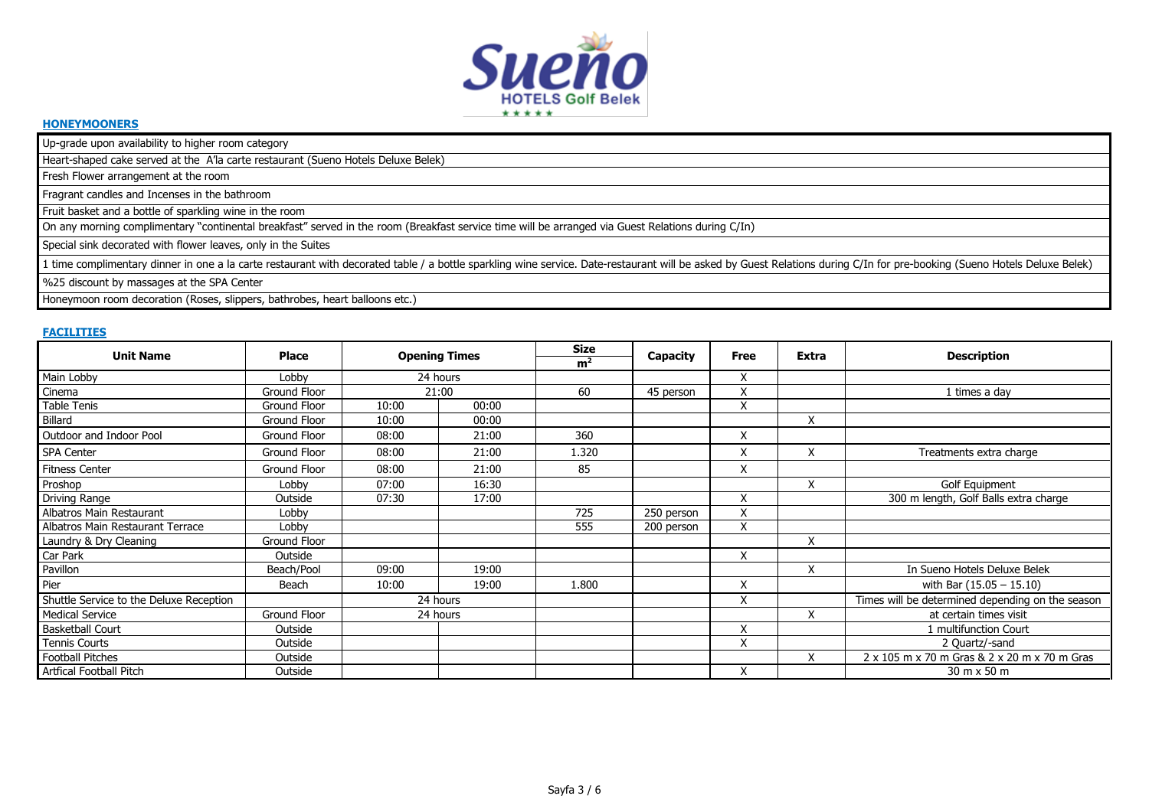

#### **HONEYMOONERS**

Up-grade upon availability to higher room category

Heart-shaped cake served at the A'la carte restaurant (Sueno Hotels Deluxe Belek)

Fresh Flower arrangement at the room

Fragrant candles and Incenses in the bathroom

Fruit basket and a bottle of sparkling wine in the room

On any morning complimentary "continental breakfast" served in the room (Breakfast service time will be arranged via Guest Relations during C/In)

Special sink decorated with flower leaves, only in the Suites

1 time complimentary dinner in one a la carte restaurant with decorated table / a bottle sparkling wine service. Date-restaurant will be asked by Guest Relations during C/In for pre-booking (Sueno Hotels Deluxe Belek)

%25 discount by massages at the SPA Center

Honeymoon room decoration (Roses, slippers, bathrobes, heart balloons etc.)

# **FACILITIES**

| <b>Unit Name</b>                        | <b>Place</b>        |       |                      | <b>Size</b>    |            |                   | <b>Extra</b> |                                                  |
|-----------------------------------------|---------------------|-------|----------------------|----------------|------------|-------------------|--------------|--------------------------------------------------|
|                                         |                     |       | <b>Opening Times</b> | m <sup>2</sup> | Capacity   | Free              |              | <b>Description</b>                               |
| Main Lobby                              | Lobby               |       | 24 hours             |                |            | X                 |              |                                                  |
| Cinema                                  | <b>Ground Floor</b> |       | 21:00                | 60             | 45 person  | $\checkmark$<br>⋏ |              | 1 times a day                                    |
| Table Tenis                             | Ground Floor        | 10:00 | 00:00                |                |            | X                 |              |                                                  |
| Billard                                 | Ground Floor        | 10:00 | 00:00                |                |            |                   | X            |                                                  |
| Outdoor and Indoor Pool                 | Ground Floor        | 08:00 | 21:00                | 360            |            | X                 |              |                                                  |
| <b>SPA Center</b>                       | <b>Ground Floor</b> | 08:00 | 21:00                | 1.320          |            | X                 | X            | Treatments extra charge                          |
| <b>Fitness Center</b>                   | <b>Ground Floor</b> | 08:00 | 21:00                | 85             |            | X                 |              |                                                  |
| Proshop                                 | Lobby               | 07:00 | 16:30                |                |            |                   | X            | Golf Equipment                                   |
| Driving Range                           | Outside             | 07:30 | 17:00                |                |            | X                 |              | 300 m length, Golf Balls extra charge            |
| Albatros Main Restaurant                | Lobby               |       |                      | 725            | 250 person | X                 |              |                                                  |
| Albatros Main Restaurant Terrace        | Lobby               |       |                      | 555            | 200 person | X                 |              |                                                  |
| Laundry & Dry Cleaning                  | Ground Floor        |       |                      |                |            |                   | X            |                                                  |
| Car Park                                | Outside             |       |                      |                |            | X                 |              |                                                  |
| Pavillon                                | Beach/Pool          | 09:00 | 19:00                |                |            |                   | X            | In Sueno Hotels Deluxe Belek                     |
| Pier                                    | Beach               | 10:00 | 19:00                | 1.800          |            | X                 |              | with Bar $(15.05 - 15.10)$                       |
| Shuttle Service to the Deluxe Reception |                     |       | 24 hours             |                |            | X                 |              | Times will be determined depending on the season |
| <b>Medical Service</b>                  | Ground Floor        |       | 24 hours             |                |            |                   | X            | at certain times visit                           |
| <b>Basketball Court</b>                 | Outside             |       |                      |                |            | X                 |              | 1 multifunction Court                            |
| <b>Tennis Courts</b>                    | Outside             |       |                      |                |            | X                 |              | 2 Quartz/-sand                                   |
| <b>Football Pitches</b>                 | Outside             |       |                      |                |            |                   | X            | 2 x 105 m x 70 m Gras & 2 x 20 m x 70 m Gras     |
| Artfical Football Pitch                 | Outside             |       |                      |                |            | X                 |              | 30 m x 50 m                                      |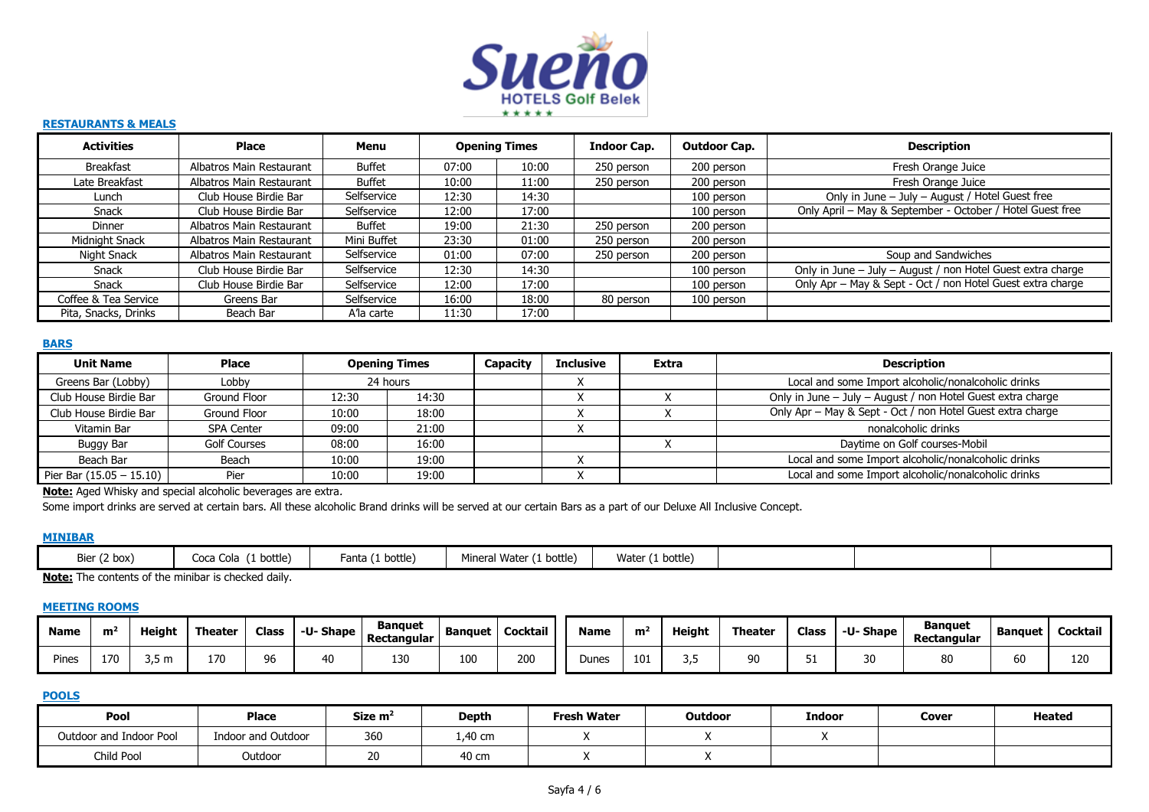

#### **RESTAURANTS & MEALS**

| <b>Activities</b>                 | Place                    | Menu          |       | <b>Opening Times</b> | <b>Indoor Cap.</b> | <b>Outdoor Cap.</b> | <b>Description</b>                                          |
|-----------------------------------|--------------------------|---------------|-------|----------------------|--------------------|---------------------|-------------------------------------------------------------|
| Breakfast                         | Albatros Main Restaurant | <b>Buffet</b> | 07:00 | 10:00                | 250 person         | 200 person          | Fresh Orange Juice                                          |
| Late Breakfast                    | Albatros Main Restaurant | <b>Buffet</b> | 10:00 | 11:00                | 250 person         | 200 person          | Fresh Orange Juice                                          |
| Lunch                             | Club House Birdie Bar    | Selfservice   | 12:30 | 14:30                |                    | 100 person          | Only in June - July - August / Hotel Guest free             |
| Snack                             | Club House Birdie Bar    | Selfservice   | 12:00 | 17:00                |                    | 100 person          | Only April - May & September - October / Hotel Guest free   |
| Dinner                            | Albatros Main Restaurant | <b>Buffet</b> | 19:00 | 21:30                | 250 person         | 200 person          |                                                             |
| Midnight Snack                    | Albatros Main Restaurant | Mini Buffet   | 23:30 | 01:00                | 250 person         | 200 person          |                                                             |
| Night Snack                       | Albatros Main Restaurant | Selfservice   | 01:00 | 07:00                | 250 person         | 200 person          | Soup and Sandwiches                                         |
| Snack                             | Club House Birdie Bar    | Selfservice   | 12:30 | 14:30                |                    | 100 person          | Only in June - July - August / non Hotel Guest extra charge |
| Snack                             | Club House Birdie Bar    | Selfservice   | 12:00 | 17:00                |                    | 100 person          | Only Apr - May & Sept - Oct / non Hotel Guest extra charge  |
| Coffee & Tea Service              | Greens Bar               |               | 16:00 | 18:00                | 80 person          | 100 person          |                                                             |
| Pita, Snacks, Drinks<br>Beach Bar |                          | A'la carte    | 11:30 | 17:00                |                    |                     |                                                             |

## **BARS**

| <b>Unit Name</b>           | <b>Place</b>        |                | <b>Opening Times</b> | Capacity | <b>Inclusive</b> | <b>Extra</b> | Description                                                 |  |                                                     |
|----------------------------|---------------------|----------------|----------------------|----------|------------------|--------------|-------------------------------------------------------------|--|-----------------------------------------------------|
| Greens Bar (Lobby)         | Lobby               | 24 hours       |                      |          |                  |              | Local and some Import alcoholic/nonalcoholic drinks         |  |                                                     |
| Club House Birdie Bar      | Ground Floor        | 12:30<br>14:30 |                      |          |                  |              | Only in June - July - August / non Hotel Guest extra charge |  |                                                     |
| Club House Birdie Bar      | Ground Floor        | 18:00<br>10:00 |                      |          |                  |              | Only Apr - May & Sept - Oct / non Hotel Guest extra charge  |  |                                                     |
| Vitamin Bar                | <b>SPA Center</b>   | 09:00          | 21:00                |          |                  |              | nonalcoholic drinks                                         |  |                                                     |
| Buggy Bar                  | <b>Golf Courses</b> | 08:00          | 16:00                |          |                  |              | Daytime on Golf courses-Mobil                               |  |                                                     |
| Beach Bar                  | Beach               | 10:00          | 19:00                |          |                  |              | Local and some Import alcoholic/nonalcoholic drinks         |  |                                                     |
| Pier Bar $(15.05 - 15.10)$ | Pier                | 19:00<br>10:00 |                      |          |                  |              | $\Lambda$                                                   |  | Local and some Import alcoholic/nonalcoholic drinks |

**Note:** Aged Whisky and special alcoholic beverages are extra.

Some import drinks are served at certain bars. All these alcoholic Brand drinks will be served at our certain Bars as a part of our Deluxe All Inclusive Concept.

# **MINIBAR**

| Bier (2 box) | Coca Cola<br>$(1 \text{ bottle})$ | Fanta (1 bottle) | Mineral Water<br>$(1 \text{ bottle})$ | Water<br>(1 bottle) |  |  |
|--------------|-----------------------------------|------------------|---------------------------------------|---------------------|--|--|
|              |                                   |                  |                                       |                     |  |  |

**Note:** The contents of the minibar is checked daily.

#### **MEETING ROOMS**

| <b>Name</b> | m   | Height | Theate | <b>Class</b> | <b>U-Shape</b> | <b>Banquet</b><br>Rectangular | Banquet | Cocktail | <b>Name</b> | m <sup>2</sup> | Height     | Theater | <b>Class</b> | -U-Shape | <b>Banguet</b><br>Rectangular | <b>Banquet</b> | <b>Cocktail</b> |
|-------------|-----|--------|--------|--------------|----------------|-------------------------------|---------|----------|-------------|----------------|------------|---------|--------------|----------|-------------------------------|----------------|-----------------|
| Pines       | 170 | 35m    | 170    | טכ           | 40             | 130                           | 100     | 200      | Dunes       | 101            | <b>___</b> | - Qr    |              |          |                               | 60             | $\sim$<br>14    |

# **POOLS**

| Pool                    | Place              | Size $m2$ | <b>Fresh Water</b><br><b>Outdoor</b><br>Depth |  | <b>Indoor</b> | Cover | <b>Heated</b> |  |
|-------------------------|--------------------|-----------|-----------------------------------------------|--|---------------|-------|---------------|--|
| Outdoor and Indoor Pool | Indoor and Outdoor | 360       | 1,40 cm                                       |  |               |       |               |  |
| Child Pool              | Outdoor            | 20        | 40 cm                                         |  |               |       |               |  |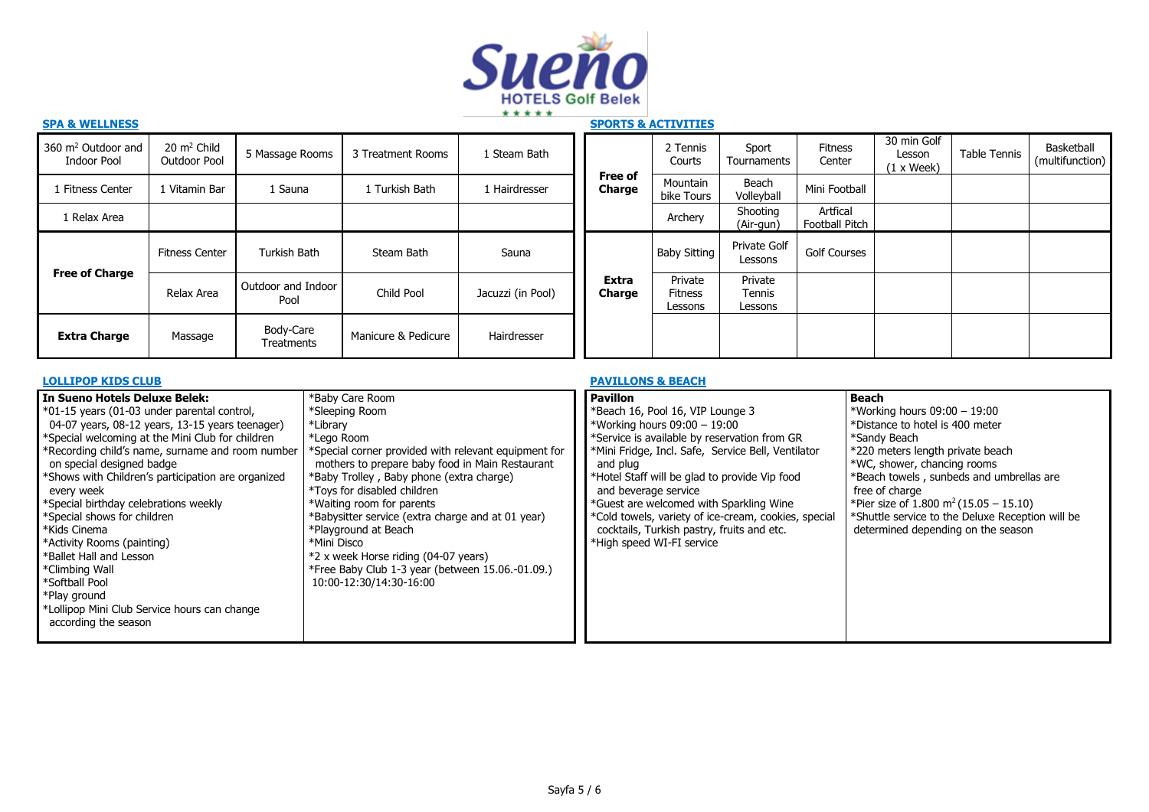

| JFA & WLLLINLJJ                               |                                        |                                |                     |                   |                        | SPUNIS & AUIIVIIILS                  |                              |                            |                                            |              |                               |
|-----------------------------------------------|----------------------------------------|--------------------------------|---------------------|-------------------|------------------------|--------------------------------------|------------------------------|----------------------------|--------------------------------------------|--------------|-------------------------------|
| 360 m <sup>2</sup> Outdoor and<br>Indoor Pool | $20 \text{ m}^2$ Child<br>Outdoor Pool | 5 Massage Rooms                | 3 Treatment Rooms   | 1 Steam Bath      |                        | 2 Tennis<br>Courts                   | Sport<br>Tournaments         | Fitness<br>Center          | 30 min Golf<br>Lesson<br>$(1 \times$ Week) | Table Tennis | Basketball<br>(multifunction) |
| 1 Fitness Center                              | 1 Vitamin Bar                          | 1 Sauna                        | L Turkish Bath      | 1 Hairdresser     | Free of<br>Charge      | Mountain<br>bike Tours               | Beach<br>Volleyball          | Mini Football              |                                            |              |                               |
| l Relax Area                                  |                                        |                                |                     |                   |                        | Archery                              | Shooting<br>(Air-gun)        | Artfical<br>Football Pitch |                                            |              |                               |
|                                               | <b>Fitness Center</b>                  | Turkish Bath                   | Steam Bath          | Sauna             |                        | Baby Sitting                         | Private Golf<br>Lessons      | <b>Golf Courses</b>        |                                            |              |                               |
| <b>Free of Charge</b>                         | Relax Area                             | Outdoor and Indoor<br>Pool     | Child Pool          | Jacuzzi (in Pool) | <b>Extra</b><br>Charge | Private<br><b>Fitness</b><br>Lessons | Private<br>Tennis<br>Lessons |                            |                                            |              |                               |
| <b>Extra Charge</b>                           | Massage                                | Body-Care<br><b>Treatments</b> | Manicure & Pedicure | Hairdresser       |                        |                                      |                              |                            |                                            |              |                               |

| <b>LOLLIPOP KIDS CLUB</b>                                                                                                                                                                                                                                                                                                                                                                                                                                                                                                                                                                                                                                                                                                           |                                                                                                                                                                                                                                                                                                                                                                                             | <b>PAVILLONS &amp; BEACH</b>                                                                                                                                                                                                                                                                                                                                                                                                                                 |                                                                                                                                                                                                                                                                                                                                                                           |  |  |
|-------------------------------------------------------------------------------------------------------------------------------------------------------------------------------------------------------------------------------------------------------------------------------------------------------------------------------------------------------------------------------------------------------------------------------------------------------------------------------------------------------------------------------------------------------------------------------------------------------------------------------------------------------------------------------------------------------------------------------------|---------------------------------------------------------------------------------------------------------------------------------------------------------------------------------------------------------------------------------------------------------------------------------------------------------------------------------------------------------------------------------------------|--------------------------------------------------------------------------------------------------------------------------------------------------------------------------------------------------------------------------------------------------------------------------------------------------------------------------------------------------------------------------------------------------------------------------------------------------------------|---------------------------------------------------------------------------------------------------------------------------------------------------------------------------------------------------------------------------------------------------------------------------------------------------------------------------------------------------------------------------|--|--|
| *Baby Care Room<br>l In Sueno Hotels Deluxe Belek:<br>$\ast$ 01-15 years (01-03 under parental control,<br>*Sleeping Room<br>04-07 years, 08-12 years, 13-15 years teenager)<br>*Library<br>*Special welcoming at the Mini Club for children<br>*Lego Room<br>*Recording child's name, surname and room number<br>on special designed badge<br>*Shows with Children's participation are organized<br>every week<br>*Special birthday celebrations weekly<br>*Special shows for children<br>*Kids Cinema<br>*Playground at Beach<br>*Activity Rooms (painting)<br>*Mini Disco<br>*Ballet Hall and Lesson<br>*Climbing Wall<br>*Softball Pool<br>*Play ground<br>*Lollipop Mini Club Service hours can change<br>according the season | *Special corner provided with relevant equipment for<br>mothers to prepare baby food in Main Restaurant<br>*Baby Trolley, Baby phone (extra charge)<br>*Toys for disabled children<br>*Waiting room for parents<br>*Babysitter service (extra charge and at 01 year)<br>*2 x week Horse riding (04-07 years)<br>*Free Baby Club 1-3 year (between 15.06.-01.09.)<br>10:00-12:30/14:30-16:00 | <b>Pavillon</b><br>*Beach 16, Pool 16, VIP Lounge 3<br>*Working hours 09:00 - 19:00<br>*Service is available by reservation from GR<br>*Mini Fridge, Incl. Safe, Service Bell, Ventilator<br>and plug<br>*Hotel Staff will be glad to provide Vip food<br>and beverage service<br>*Guest are welcomed with Sparkling Wine<br>*Cold towels, variety of ice-cream, cookies, special<br>cocktails, Turkish pastry, fruits and etc.<br>*High speed WI-FI service | Beach<br>*Working hours 09:00 - 19:00<br>*Distance to hotel is 400 meter<br>*Sandy Beach<br>*220 meters length private beach<br>*WC, shower, chancing rooms<br>*Beach towels, sunbeds and umbrellas are<br>free of charge<br>*Pier size of 1.800 m <sup>2</sup> (15.05 - 15.10)<br>*Shuttle service to the Deluxe Reception will be<br>determined depending on the season |  |  |

# **SPA & WELLNESS SPORTS & ACTIVITIES**